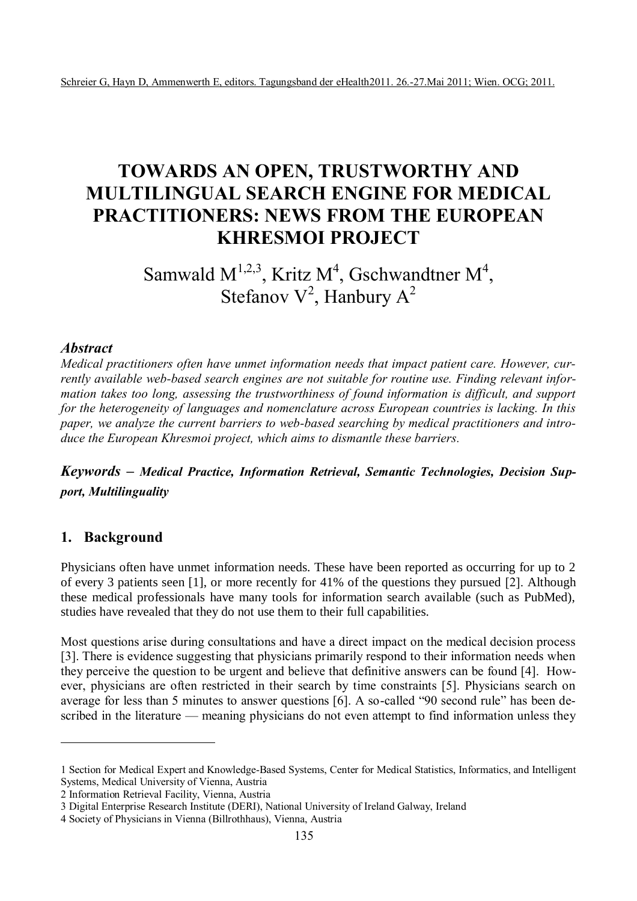# **TOWARDS AN OPEN, TRUSTWORTHY AND MULTILINGUAL SEARCH ENGINE FOR MEDICAL PRACTITIONERS: NEWS FROM THE EUROPEAN KHRESMOI PROJECT**

# Samwald  $M^{1,2,3}$ , Kritz M<sup>4</sup>, Gschwandtner M<sup>4</sup>, Stefanov  $V^2$ , Hanbury  $A^2$

#### *Abstract*

*Medical practitioners often have unmet information needs that impact patient care. However, currently available web-based search engines are not suitable for routine use. Finding relevant information takes too long, assessing the trustworthiness of found information is difficult, and support for the heterogeneity of languages and nomenclature across European countries is lacking. In this paper, we analyze the current barriers to web-based searching by medical practitioners and introduce the European Khresmoi project, which aims to dismantle these barriers.*

*Keywords – Medical Practice, Information Retrieval, Semantic Technologies, Decision Support, Multilinguality*

### **1. Background**

 $\overline{a}$ 

Physicians often have unmet information needs. These have been reported as occurring for up to 2 of every 3 patients seen [1], or more recently for 41% of the questions they pursued [2]. Although these medical professionals have many tools for information search available (such as PubMed), studies have revealed that they do not use them to their full capabilities.

Most questions arise during consultations and have a direct impact on the medical decision process [3]. There is evidence suggesting that physicians primarily respond to their information needs when they perceive the question to be urgent and believe that definitive answers can be found [4]. However, physicians are often restricted in their search by time constraints [5]. Physicians search on average for less than 5 minutes to answer questions [6]. A so-called "90 second rule" has been described in the literature — meaning physicians do not even attempt to find information unless they

2 Information Retrieval Facility, Vienna, Austria

<sup>1</sup> Section for Medical Expert and Knowledge-Based Systems, Center for Medical Statistics, Informatics, and Intelligent Systems, Medical University of Vienna, Austria

<sup>3</sup> Digital Enterprise Research Institute (DERI), National University of Ireland Galway, Ireland

<sup>4</sup> Society of Physicians in Vienna (Billrothhaus), Vienna, Austria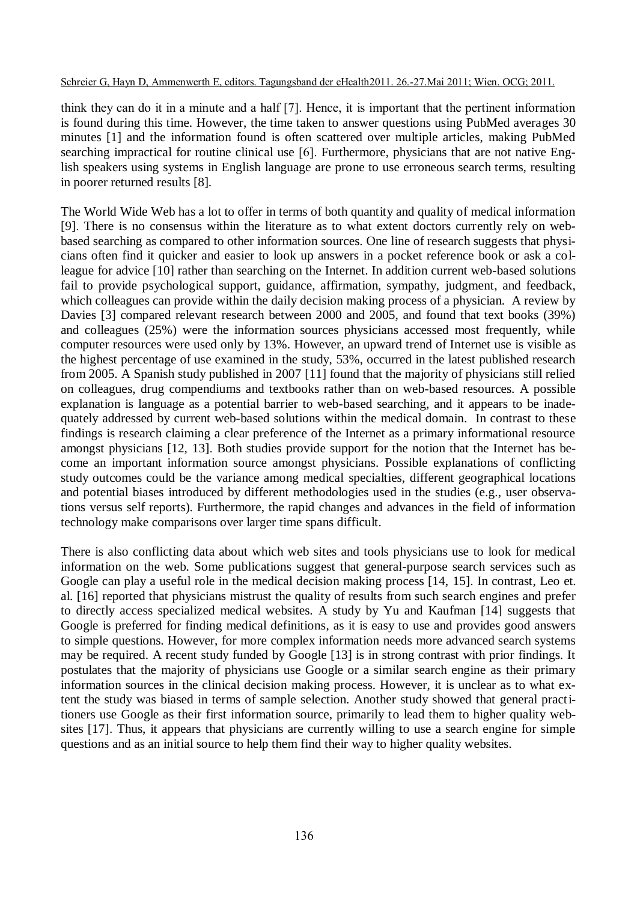think they can do it in a minute and a half [7]. Hence, it is important that the pertinent information is found during this time. However, the time taken to answer questions using PubMed averages 30 minutes [1] and the information found is often scattered over multiple articles, making PubMed searching impractical for routine clinical use [6]. Furthermore, physicians that are not native English speakers using systems in English language are prone to use erroneous search terms, resulting in poorer returned results [8].

The World Wide Web has a lot to offer in terms of both quantity and quality of medical information [9]. There is no consensus within the literature as to what extent doctors currently rely on webbased searching as compared to other information sources. One line of research suggests that physicians often find it quicker and easier to look up answers in a pocket reference book or ask a colleague for advice [10] rather than searching on the Internet. In addition current web-based solutions fail to provide psychological support, guidance, affirmation, sympathy, judgment, and feedback, which colleagues can provide within the daily decision making process of a physician. A review by Davies [3] compared relevant research between 2000 and 2005, and found that text books (39%) and colleagues (25%) were the information sources physicians accessed most frequently, while computer resources were used only by 13%. However, an upward trend of Internet use is visible as the highest percentage of use examined in the study, 53%, occurred in the latest published research from 2005. A Spanish study published in 2007 [11] found that the majority of physicians still relied on colleagues, drug compendiums and textbooks rather than on web-based resources. A possible explanation is language as a potential barrier to web-based searching, and it appears to be inadequately addressed by current web-based solutions within the medical domain. In contrast to these findings is research claiming a clear preference of the Internet as a primary informational resource amongst physicians [12, 13]. Both studies provide support for the notion that the Internet has become an important information source amongst physicians. Possible explanations of conflicting study outcomes could be the variance among medical specialties, different geographical locations and potential biases introduced by different methodologies used in the studies (e.g., user observations versus self reports). Furthermore, the rapid changes and advances in the field of information technology make comparisons over larger time spans difficult.

There is also conflicting data about which web sites and tools physicians use to look for medical information on the web. Some publications suggest that general-purpose search services such as Google can play a useful role in the medical decision making process [14, 15]. In contrast, Leo et. al. [16] reported that physicians mistrust the quality of results from such search engines and prefer to directly access specialized medical websites. A study by Yu and Kaufman [14] suggests that Google is preferred for finding medical definitions, as it is easy to use and provides good answers to simple questions. However, for more complex information needs more advanced search systems may be required. A recent study funded by Google [13] is in strong contrast with prior findings. It postulates that the majority of physicians use Google or a similar search engine as their primary information sources in the clinical decision making process. However, it is unclear as to what extent the study was biased in terms of sample selection. Another study showed that general practitioners use Google as their first information source, primarily to lead them to higher quality websites [17]. Thus, it appears that physicians are currently willing to use a search engine for simple questions and as an initial source to help them find their way to higher quality websites.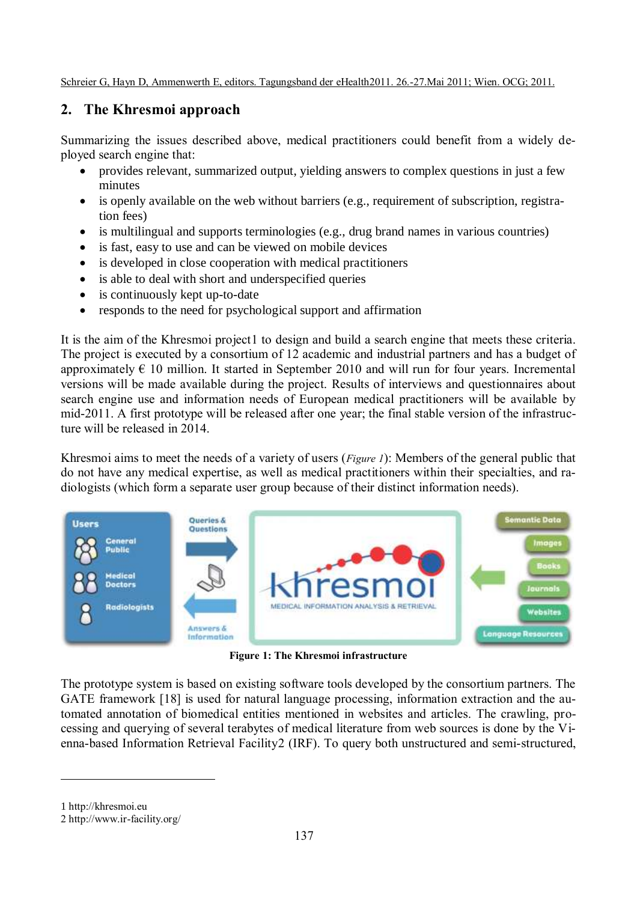## **2. The Khresmoi approach**

Summarizing the issues described above, medical practitioners could benefit from a widely deployed search engine that:

- provides relevant, summarized output, yielding answers to complex questions in just a few minutes
- is openly available on the web without barriers (e.g., requirement of subscription, registration fees)
- is multilingual and supports terminologies (e.g., drug brand names in various countries)
- is fast, easy to use and can be viewed on mobile devices
- is developed in close cooperation with medical practitioners
- is able to deal with short and underspecified queries
- is continuously kept up-to-date
- responds to the need for psychological support and affirmation

It is the aim of the Khresmoi project1 to design and build a search engine that meets these criteria. The project is executed by a consortium of 12 academic and industrial partners and has a budget of approximately  $\epsilon$  10 million. It started in September 2010 and will run for four years. Incremental versions will be made available during the project. Results of interviews and questionnaires about search engine use and information needs of European medical practitioners will be available by mid-2011. A first prototype will be released after one year; the final stable version of the infrastructure will be released in 2014.

Khresmoi aims to meet the needs of a variety of users (*Figure 1*): Members of the general public that do not have any medical expertise, as well as medical practitioners within their specialties, and radiologists (which form a separate user group because of their distinct information needs).



**Figure 1: The Khresmoi infrastructure**

The prototype system is based on existing software tools developed by the consortium partners. The GATE framework [18] is used for natural language processing, information extraction and the automated annotation of biomedical entities mentioned in websites and articles. The crawling, processing and querying of several terabytes of medical literature from web sources is done by the Vienna-based Information Retrieval Facility2 (IRF). To query both unstructured and semi-structured,

1 http://khresmoi.eu

 $\overline{a}$ 

2 http://www.ir-facility.org/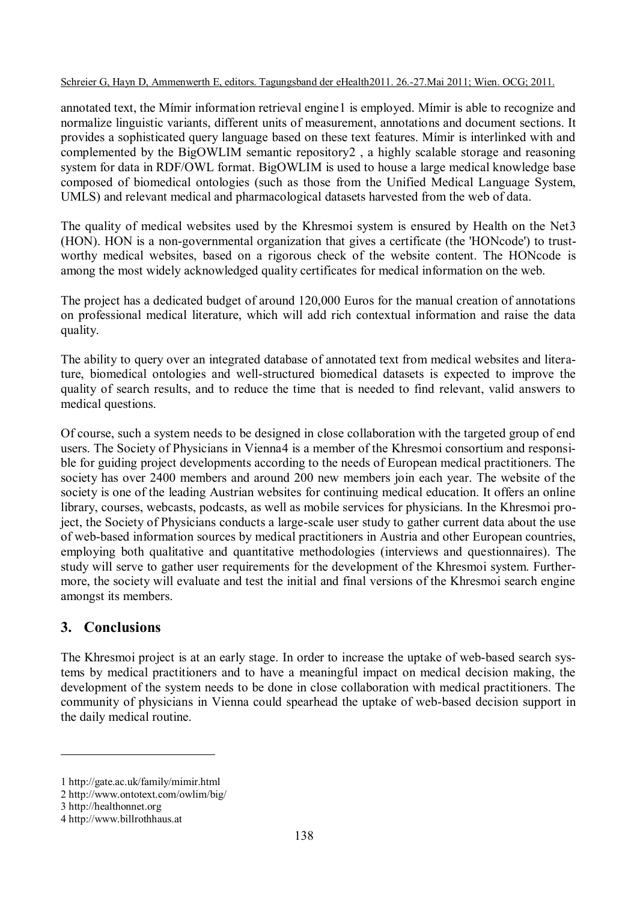annotated text, the Mímir information retrieval engine1 is employed. Mímir is able to recognize and normalize linguistic variants, different units of measurement, annotations and document sections. It provides a sophisticated query language based on these text features. Mímir is interlinked with and complemented by the BigOWLIM semantic repository2 , a highly scalable storage and reasoning system for data in RDF/OWL format. BigOWLIM is used to house a large medical knowledge base composed of biomedical ontologies (such as those from the Unified Medical Language System, UMLS) and relevant medical and pharmacological datasets harvested from the web of data.

The quality of medical websites used by the Khresmoi system is ensured by Health on the Net3 (HON). HON is a non-governmental organization that gives a certificate (the 'HONcode') to trustworthy medical websites, based on a rigorous check of the website content. The HONcode is among the most widely acknowledged quality certificates for medical information on the web.

The project has a dedicated budget of around 120,000 Euros for the manual creation of annotations on professional medical literature, which will add rich contextual information and raise the data quality.

The ability to query over an integrated database of annotated text from medical websites and literature, biomedical ontologies and well-structured biomedical datasets is expected to improve the quality of search results, and to reduce the time that is needed to find relevant, valid answers to medical questions.

Of course, such a system needs to be designed in close collaboration with the targeted group of end users. The Society of Physicians in Vienna4 is a member of the Khresmoi consortium and responsible for guiding project developments according to the needs of European medical practitioners. The society has over 2400 members and around 200 new members join each year. The website of the society is one of the leading Austrian websites for continuing medical education. It offers an online library, courses, webcasts, podcasts, as well as mobile services for physicians. In the Khresmoi project, the Society of Physicians conducts a large-scale user study to gather current data about the use of web-based information sources by medical practitioners in Austria and other European countries, employing both qualitative and quantitative methodologies (interviews and questionnaires). The study will serve to gather user requirements for the development of the Khresmoi system. Furthermore, the society will evaluate and test the initial and final versions of the Khresmoi search engine amongst its members.

## **3. Conclusions**

The Khresmoi project is at an early stage. In order to increase the uptake of web-based search systems by medical practitioners and to have a meaningful impact on medical decision making, the development of the system needs to be done in close collaboration with medical practitioners. The community of physicians in Vienna could spearhead the uptake of web-based decision support in the daily medical routine.

 $\overline{a}$ 

<sup>1</sup> http://gate.ac.uk/family/mimir.html

<sup>2</sup> http://www.ontotext.com/owlim/big/

<sup>3</sup> http://healthonnet.org

<sup>4</sup> http://www.billrothhaus.at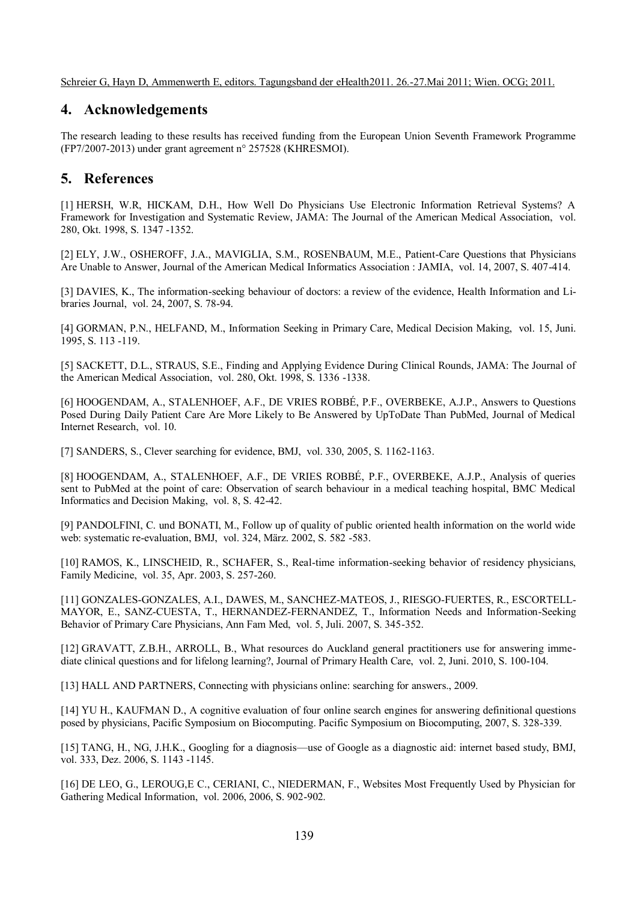## **4. Acknowledgements**

The research leading to these results has received funding from the European Union Seventh Framework Programme (FP7/2007-2013) under grant agreement n° 257528 (KHRESMOI).

## **5. References**

[1] HERSH, W.R, HICKAM, D.H., How Well Do Physicians Use Electronic Information Retrieval Systems? A Framework for Investigation and Systematic Review, JAMA: The Journal of the American Medical Association, vol. 280, Okt. 1998, S. 1347 -1352.

[2] ELY, J.W., OSHEROFF, J.A., MAVIGLIA, S.M., ROSENBAUM, M.E., Patient-Care Questions that Physicians Are Unable to Answer, Journal of the American Medical Informatics Association : JAMIA, vol. 14, 2007, S. 407-414.

[3] DAVIES, K., The information-seeking behaviour of doctors: a review of the evidence, Health Information and Libraries Journal, vol. 24, 2007, S. 78-94.

[4] GORMAN, P.N., HELFAND, M., Information Seeking in Primary Care, Medical Decision Making, vol. 15, Juni. 1995, S. 113 -119.

[5] SACKETT, D.L., STRAUS, S.E., Finding and Applying Evidence During Clinical Rounds, JAMA: The Journal of the American Medical Association, vol. 280, Okt. 1998, S. 1336 -1338.

[6] HOOGENDAM, A., STALENHOEF, A.F., DE VRIES ROBBÉ, P.F., OVERBEKE, A.J.P., Answers to Questions Posed During Daily Patient Care Are More Likely to Be Answered by UpToDate Than PubMed, Journal of Medical Internet Research, vol. 10.

[7] SANDERS, S., Clever searching for evidence, BMJ, vol. 330, 2005, S. 1162-1163.

[8] HOOGENDAM, A., STALENHOEF, A.F., DE VRIES ROBBÉ, P.F., OVERBEKE, A.J.P., Analysis of queries sent to PubMed at the point of care: Observation of search behaviour in a medical teaching hospital, BMC Medical Informatics and Decision Making, vol. 8, S. 42-42.

[9] PANDOLFINI, C. und BONATI, M., Follow up of quality of public oriented health information on the world wide web: systematic re-evaluation, BMJ, vol. 324, März. 2002, S. 582 -583.

[10] RAMOS, K., LINSCHEID, R., SCHAFER, S., Real-time information-seeking behavior of residency physicians, Family Medicine, vol. 35, Apr. 2003, S. 257-260.

[11] GONZALES-GONZALES, A.I., DAWES, M., SANCHEZ-MATEOS, J., RIESGO-FUERTES, R., ESCORTELL-MAYOR, E., SANZ-CUESTA, T., HERNANDEZ-FERNANDEZ, T., Information Needs and Information-Seeking Behavior of Primary Care Physicians, Ann Fam Med, vol. 5, Juli. 2007, S. 345-352.

[12] GRAVATT, Z.B.H., ARROLL, B., What resources do Auckland general practitioners use for answering immediate clinical questions and for lifelong learning?, Journal of Primary Health Care, vol. 2, Juni. 2010, S. 100-104.

[13] HALL AND PARTNERS, Connecting with physicians online: searching for answers., 2009.

[14] YU H., KAUFMAN D., A cognitive evaluation of four online search engines for answering definitional questions posed by physicians, Pacific Symposium on Biocomputing. Pacific Symposium on Biocomputing, 2007, S. 328-339.

[15] TANG, H., NG, J.H.K., Googling for a diagnosis—use of Google as a diagnostic aid: internet based study, BMJ, vol. 333, Dez. 2006, S. 1143 -1145.

[16] DE LEO, G., LEROUG,E C., CERIANI, C., NIEDERMAN, F., Websites Most Frequently Used by Physician for Gathering Medical Information, vol. 2006, 2006, S. 902-902.